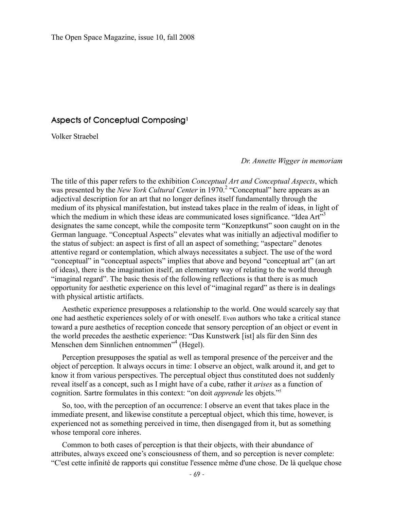## Aspects of Conceptual Composing<sup>1</sup>

Volker Straebel

*Dr. Annette Wigger in memoriam* 

The title of this paper refers to the exhibition *Conceptual Art and Conceptual Aspects*, which was presented by the *New York Cultural Center* in 1970.<sup>2</sup> "Conceptual" here appears as an adjectival description for an art that no longer defines itself fundamentally through the medium of its physical manifestation, but instead takes place in the realm of ideas, in light of which the medium in which these ideas are communicated loses significance. "Idea  $Art^3$ designates the same concept, while the composite term "Konzeptkunst" soon caught on in the German language. "Conceptual Aspects" elevates what was initially an adjectival modifier to the status of subject: an aspect is first of all an aspect of something; "aspectare" denotes attentive regard or contemplation, which always necessitates a subject. The use of the word "conceptual" in "conceptual aspects" implies that above and beyond "conceptual art" (an art of ideas), there is the imagination itself, an elementary way of relating to the world through "imaginal regard". The basic thesis of the following reflections is that there is as much opportunity for aesthetic experience on this level of "imaginal regard" as there is in dealings with physical artistic artifacts.

Aesthetic experience presupposes a relationship to the world. One would scarcely say that one had aesthetic experiences solely of or with oneself. Even authors who take a critical stance toward a pure aesthetics of reception concede that sensory perception of an object or event in the world precedes the aesthetic experience: "Das Kunstwerk [ist] als für den Sinn des Menschen dem Sinnlichen entnommen"<sup>4</sup> (Hegel).

Perception presupposes the spatial as well as temporal presence of the perceiver and the object of perception. It always occurs in time: I observe an object, walk around it, and get to know it from various perspectives. The perceptual object thus constituted does not suddenly reveal itself as a concept, such as I might have of a cube, rather it *arises* as a function of cognition. Sartre formulates in this context: "on doit *apprende* les objets."<sup>5</sup>

So, too, with the perception of an occurrence: I observe an event that takes place in the immediate present, and likewise constitute a perceptual object, which this time, however, is experienced not as something perceived in time, then disengaged from it, but as something whose temporal core inheres.

Common to both cases of perception is that their objects, with their abundance of attributes, always exceed one's consciousness of them, and so perception is never complete: "C'est cette infinité de rapports qui constitue l'essence même d'une chose. De là quelque chose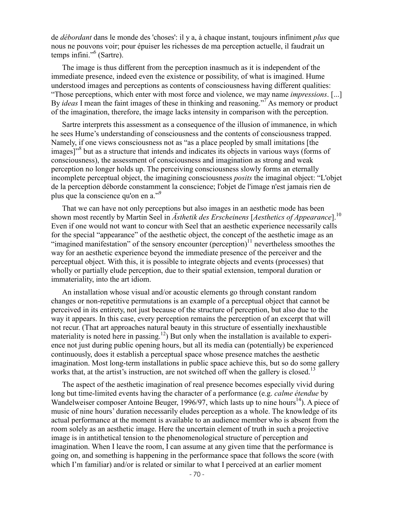de *débordant* dans le monde des 'choses': il y a, à chaque instant, toujours infiniment *plus* que nous ne pouvons voir; pour épuiser les richesses de ma perception actuelle, il faudrait un temps infini."<sup>6</sup> (Sartre).

The image is thus different from the perception inasmuch as it is independent of the immediate presence, indeed even the existence or possibility, of what is imagined. Hume understood images and perceptions as contents of consciousness having different qualities: "Those perceptions, which enter with most force and violence, we may name *impressions*. [...] By *ideas* I mean the faint images of these in thinking and reasoning."<sup>7</sup> As memory or product of the imagination, therefore, the image lacks intensity in comparison with the perception.

Sartre interprets this assessment as a consequence of the illusion of immanence, in which he sees Hume's understanding of consciousness and the contents of consciousness trapped. Namely, if one views consciousness not as "as a place peopled by small imitations [the images]"<sup>8</sup> but as a structure that intends and indicates its objects in various ways (forms of consciousness), the assessment of consciousness and imagination as strong and weak perception no longer holds up. The perceiving consciousness slowly forms an eternally incomplete perceptual object, the imagining consciousness *posits* the imaginal object: "L'objet de la perception déborde constamment la conscience; l'objet de l'image n'est jamais rien de plus que la conscience qu'on en a."<sup>9</sup>

That we can have not only perceptions but also images in an aesthetic mode has been shown most recently by Martin Seel in *Ästhetik des Erscheinens* [*Aesthetics of Appearance*].<sup>10</sup> Even if one would not want to concur with Seel that an aesthetic experience necessarily calls for the special "appearance" of the aesthetic object, the concept of the aesthetic image as an "imagined manifestation" of the sensory encounter (perception) $11$  nevertheless smoothes the way for an aesthetic experience beyond the immediate presence of the perceiver and the perceptual object. With this, it is possible to integrate objects and events (processes) that wholly or partially elude perception, due to their spatial extension, temporal duration or immateriality, into the art idiom.

An installation whose visual and/or acoustic elements go through constant random changes or non-repetitive permutations is an example of a perceptual object that cannot be perceived in its entirety, not just because of the structure of perception, but also due to the way it appears. In this case, every perception remains the perception of an excerpt that will not recur. (That art approaches natural beauty in this structure of essentially inexhaustible materiality is noted here in passing.<sup>12</sup>) But only when the installation is available to experience not just during public opening hours, but all its media can (potentially) be experienced continuously, does it establish a perceptual space whose presence matches the aesthetic imagination. Most long-term installations in public space achieve this, but so do some gallery works that, at the artist's instruction, are not switched off when the gallery is closed.<sup>13</sup>

The aspect of the aesthetic imagination of real presence becomes especially vivid during long but time-limited events having the character of a performance (e.g. *calme étendue* by Wandelweiser composer Antoine Beuger, 1996/97, which lasts up to nine hours<sup>14</sup>). A piece of music of nine hours' duration necessarily eludes perception as a whole. The knowledge of its actual performance at the moment is available to an audience member who is absent from the room solely as an aesthetic image. Here the uncertain element of truth in such a projective image is in antithetical tension to the phenomenological structure of perception and imagination. When I leave the room, I can assume at any given time that the performance is going on, and something is happening in the performance space that follows the score (with which I'm familiar) and/or is related or similar to what I perceived at an earlier moment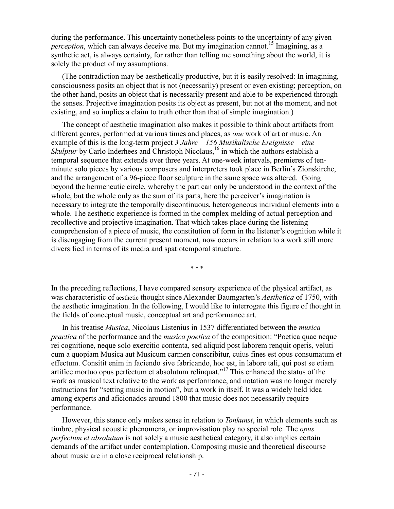during the performance. This uncertainty nonetheless points to the uncertainty of any given *perception*, which can always deceive me. But my imagination cannot.<sup>15</sup> Imagining, as a synthetic act, is always certainty, for rather than telling me something about the world, it is solely the product of my assumptions.

(The contradiction may be aesthetically productive, but it is easily resolved: In imagining, consciousness posits an object that is not (necessarily) present or even existing; perception, on the other hand, posits an object that is necessarily present and able to be experienced through the senses. Projective imagination posits its object as present, but not at the moment, and not existing, and so implies a claim to truth other than that of simple imagination.)

The concept of aesthetic imagination also makes it possible to think about artifacts from different genres, performed at various times and places, as *one* work of art or music. An example of this is the long-term project *3 Jahre – 156 Musikalische Ereignisse – eine Skulptur* by Carlo Inderhees and Christoph Nicolaus,<sup>16</sup> in which the authors establish a temporal sequence that extends over three years. At one-week intervals, premieres of tenminute solo pieces by various composers and interpreters took place in Berlin's Zionskirche, and the arrangement of a 96-piece floor sculpture in the same space was altered. Going beyond the hermeneutic circle, whereby the part can only be understood in the context of the whole, but the whole only as the sum of its parts, here the perceiver's imagination is necessary to integrate the temporally discontinuous, heterogeneous individual elements into a whole. The aesthetic experience is formed in the complex melding of actual perception and recollective and projective imagination. That which takes place during the listening comprehension of a piece of music, the constitution of form in the listener's cognition while it is disengaging from the current present moment, now occurs in relation to a work still more diversified in terms of its media and spatiotemporal structure.

\* \* \*

In the preceding reflections, I have compared sensory experience of the physical artifact, as was characteristic of aesthetic thought since Alexander Baumgarten's *Aesthetica* of 1750, with the aesthetic imagination. In the following, I would like to interrogate this figure of thought in the fields of conceptual music, conceptual art and performance art.

In his treatise *Musica*, Nicolaus Listenius in 1537 differentiated between the *musica practica* of the performance and the *musica poetica* of the composition: "Poetica quae neque rei cognitione, neque solo exercitio contenta, sed aliquid post laborem renquit operis, veluti cum a quopiam Musica aut Musicum carmen conscribitur, cuius fines est opus consumatum et effectum. Consitit enim in faciendo sive fabricando, hoc est, in labore tali, qui post se etiam artifice mortuo opus perfectum et absolutum relinquat."<sup>17</sup> This enhanced the status of the work as musical text relative to the work as performance, and notation was no longer merely instructions for "setting music in motion", but a work in itself. It was a widely held idea among experts and aficionados around 1800 that music does not necessarily require performance.

However, this stance only makes sense in relation to *Tonkunst*, in which elements such as timbre, physical acoustic phenomena, or improvisation play no special role. The *opus perfectum et absolutum* is not solely a music aesthetical category, it also implies certain demands of the artifact under contemplation. Composing music and theoretical discourse about music are in a close reciprocal relationship.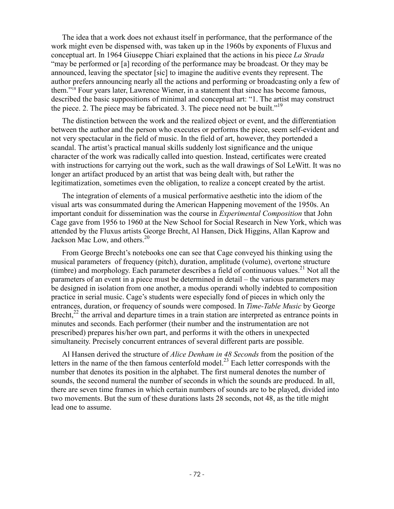The idea that a work does not exhaust itself in performance, that the performance of the work might even be dispensed with, was taken up in the 1960s by exponents of Fluxus and conceptual art. In 1964 Giuseppe Chiari explained that the actions in his piece *La Strada* "may be performed or [a] recording of the performance may be broadcast. Or they may be announced, leaving the spectator [sic] to imagine the auditive events they represent. The author prefers announcing nearly all the actions and performing or broadcasting only a few of them."<sup>18</sup> Four years later, Lawrence Wiener, in a statement that since has become famous, described the basic suppositions of minimal and conceptual art: "1. The artist may construct the piece. 2. The piece may be fabricated. 3. The piece need not be built."<sup>19</sup>

The distinction between the work and the realized object or event, and the differentiation between the author and the person who executes or performs the piece, seem self-evident and not very spectacular in the field of music. In the field of art, however, they portended a scandal. The artist's practical manual skills suddenly lost significance and the unique character of the work was radically called into question. Instead, certificates were created with instructions for carrying out the work, such as the wall drawings of Sol LeWitt. It was no longer an artifact produced by an artist that was being dealt with, but rather the legitimatization, sometimes even the obligation, to realize a concept created by the artist.

The integration of elements of a musical performative aesthetic into the idiom of the visual arts was consummated during the American Happening movement of the 1950s. An important conduit for dissemination was the course in *Experimental Composition* that John Cage gave from 1956 to 1960 at the New School for Social Research in New York, which was attended by the Fluxus artists George Brecht, Al Hansen, Dick Higgins, Allan Kaprow and Jackson Mac Low, and others.<sup>20</sup>

From George Brecht's notebooks one can see that Cage conveyed his thinking using the musical parameters of frequency (pitch), duration, amplitude (volume), overtone structure (timbre) and morphology. Each parameter describes a field of continuous values.<sup>21</sup> Not all the parameters of an event in a piece must be determined in detail – the various parameters may be designed in isolation from one another, a modus operandi wholly indebted to composition practice in serial music. Cage's students were especially fond of pieces in which only the entrances, duration, or frequency of sounds were composed. In *Time-Table Music* by George Brecht,<sup>22</sup> the arrival and departure times in a train station are interpreted as entrance points in minutes and seconds. Each performer (their number and the instrumentation are not prescribed) prepares his/her own part, and performs it with the others in unexpected simultaneity. Precisely concurrent entrances of several different parts are possible.

Al Hansen derived the structure of *Alice Denham in 48 Seconds* from the position of the letters in the name of the then famous centerfold model.<sup>23</sup> Each letter corresponds with the number that denotes its position in the alphabet. The first numeral denotes the number of sounds, the second numeral the number of seconds in which the sounds are produced. In all, there are seven time frames in which certain numbers of sounds are to be played, divided into two movements. But the sum of these durations lasts 28 seconds, not 48, as the title might lead one to assume.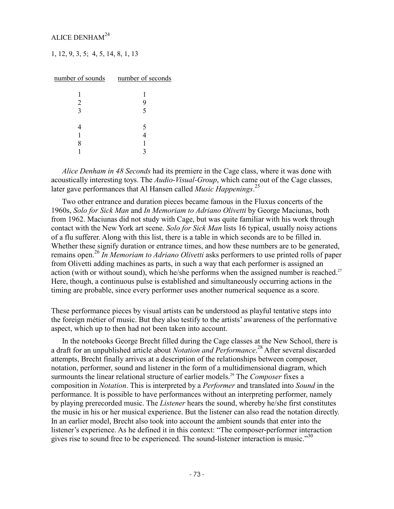## ALICE DENHAM<sup>24</sup>

1, 12, 9, 3, 5; 4, 5, 14, 8, 1, 13

| number of sounds number of seconds |   |
|------------------------------------|---|
|                                    |   |
|                                    |   |
| 2                                  |   |
| 3                                  | 5 |
|                                    |   |
|                                    | 5 |
|                                    |   |
|                                    |   |
|                                    |   |

*Alice Denham in 48 Seconds* had its premiere in the Cage class, where it was done with acoustically interesting toys. The *Audio-Visual-Group*, which came out of the Cage classes, later gave performances that Al Hansen called *Music Happenings*. 25

Two other entrance and duration pieces became famous in the Fluxus concerts of the 1960s, *Solo for Sick Man* and *In Memoriam to Adriano Olivetti* by George Maciunas, both from 1962. Maciunas did not study with Cage, but was quite familiar with his work through contact with the New York art scene. *Solo for Sick Man* lists 16 typical, usually noisy actions of a flu sufferer. Along with this list, there is a table in which seconds are to be filled in. Whether these signify duration or entrance times, and how these numbers are to be generated, remains open.<sup>26</sup> *In Memoriam to Adriano Olivetti* asks performers to use printed rolls of paper from Olivetti adding machines as parts, in such a way that each performer is assigned an action (with or without sound), which he/she performs when the assigned number is reached.<sup>27</sup> Here, though, a continuous pulse is established and simultaneously occurring actions in the timing are probable, since every performer uses another numerical sequence as a score.

These performance pieces by visual artists can be understood as playful tentative steps into the foreign métier of music. But they also testify to the artists' awareness of the performative aspect, which up to then had not been taken into account.

In the notebooks George Brecht filled during the Cage classes at the New School, there is a draft for an unpublished article about *Notation and Performance*. <sup>28</sup> After several discarded attempts, Brecht finally arrives at a description of the relationships between composer, notation, performer, sound and listener in the form of a multidimensional diagram, which surmounts the linear relational structure of earlier models.<sup>29</sup> The *Composer* fixes a composition in *Notation*. This is interpreted by a *Performer* and translated into *Sound* in the performance. It is possible to have performances without an interpreting performer, namely by playing prerecorded music. The *Listener* hears the sound, whereby he/she first constitutes the music in his or her musical experience. But the listener can also read the notation directly. In an earlier model, Brecht also took into account the ambient sounds that enter into the listener's experience. As he defined it in this context: "The composer-performer interaction gives rise to sound free to be experienced. The sound-listener interaction is music."<sup>30</sup>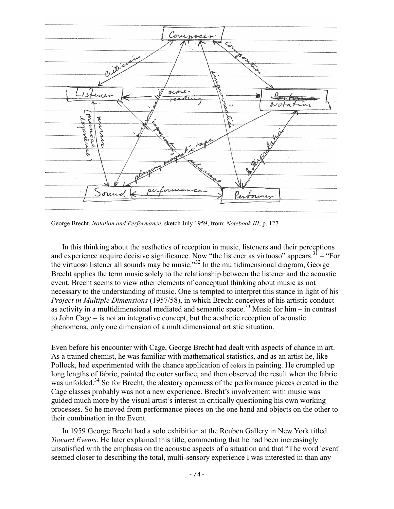

George Brecht, *Notation and Performance*, sketch July 1959, from: *Notebook III*, p. 127

In this thinking about the aesthetics of reception in music, listeners and their perceptions and experience acquire decisive significance. Now "the listener as virtuoso" appears.<sup>31</sup> – "For the virtuoso listener all sounds may be music."<sup>32</sup> In the multidimensional diagram, George Brecht applies the term music solely to the relationship between the listener and the acoustic event. Brecht seems to view other elements of conceptual thinking about music as not necessary to the understanding of music. One is tempted to interpret this stance in light of his *Project in Multiple Dimensions* (1957/58), in which Brecht conceives of his artistic conduct as activity in a multidimensional mediated and semantic space.<sup>33</sup> Music for him – in contrast to John Cage – is not an integrative concept, but the aesthetic reception of acoustic phenomena, only one dimension of a multidimensional artistic situation.

Even before his encounter with Cage, George Brecht had dealt with aspects of chance in art. As a trained chemist, he was familiar with mathematical statistics, and as an artist he, like Pollock, had experimented with the chance application of colors in painting. He crumpled up long lengths of fabric, painted the outer surface, and then observed the result when the fabric was unfolded.<sup>34</sup> So for Brecht, the aleatory openness of the performance pieces created in the Cage classes probably was not a new experience. Brecht's involvement with music was guided much more by the visual artist's interest in critically questioning his own working processes. So he moved from performance pieces on the one hand and objects on the other to their combination in the Event.

In 1959 George Brecht had a solo exhibition at the Reuben Gallery in New York titled *Toward Events*. He later explained this title, commenting that he had been increasingly unsatisfied with the emphasis on the acoustic aspects of a situation and that "The word 'event' seemed closer to describing the total, multi-sensory experience I was interested in than any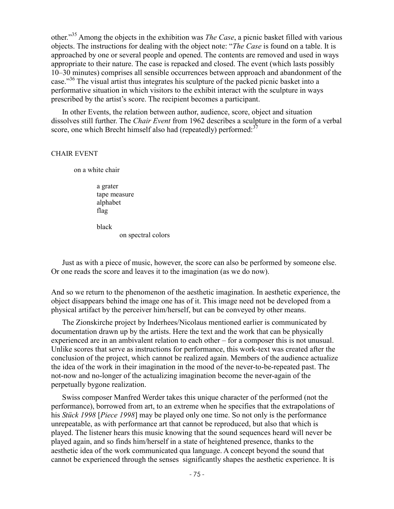other."<sup>35</sup> Among the objects in the exhibition was *The Case*, a picnic basket filled with various objects. The instructions for dealing with the object note: "*The Case* is found on a table. It is approached by one or several people and opened. The contents are removed and used in ways appropriate to their nature. The case is repacked and closed. The event (which lasts possibly 10–30 minutes) comprises all sensible occurrences between approach and abandonment of the case."<sup>36</sup> The visual artist thus integrates his sculpture of the packed picnic basket into a performative situation in which visitors to the exhibit interact with the sculpture in ways prescribed by the artist's score. The recipient becomes a participant.

In other Events, the relation between author, audience, score, object and situation dissolves still further. The *Chair Event* from 1962 describes a sculpture in the form of a verbal score, one which Brecht himself also had (repeatedly) performed:<sup>37</sup>

## CHAIR EVENT

on a white chair

a grater tape measure alphabet flag

black

on spectral colors

Just as with a piece of music, however, the score can also be performed by someone else. Or one reads the score and leaves it to the imagination (as we do now).

And so we return to the phenomenon of the aesthetic imagination. In aesthetic experience, the object disappears behind the image one has of it. This image need not be developed from a physical artifact by the perceiver him/herself, but can be conveyed by other means.

The Zionskirche project by Inderhees/Nicolaus mentioned earlier is communicated by documentation drawn up by the artists. Here the text and the work that can be physically experienced are in an ambivalent relation to each other – for a composer this is not unusual. Unlike scores that serve as instructions for performance, this work-text was created after the conclusion of the project, which cannot be realized again. Members of the audience actualize the idea of the work in their imagination in the mood of the never-to-be-repeated past. The not-now and no-longer of the actualizing imagination become the never-again of the perpetually bygone realization.

Swiss composer Manfred Werder takes this unique character of the performed (not the performance), borrowed from art, to an extreme when he specifies that the extrapolations of his *Stück 1998* [*Piece 1998*] may be played only one time. So not only is the performance unrepeatable, as with performance art that cannot be reproduced, but also that which is played. The listener hears this music knowing that the sound sequences heard will never be played again, and so finds him/herself in a state of heightened presence, thanks to the aesthetic idea of the work communicated qua language. A concept beyond the sound that cannot be experienced through the senses significantly shapes the aesthetic experience. It is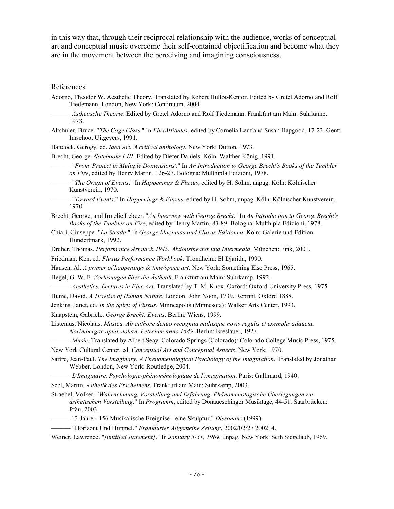in this way that, through their reciprocal relationship with the audience, works of conceptual art and conceptual music overcome their self-contained objectification and become what they are in the movement between the perceiving and imagining consciousness.

## References

- Adorno, Theodor W. Aesthetic Theory. Translated by Robert Hullot-Kentor. Edited by Gretel Adorno and Rolf Tiedemann. London, New York: Continuum, 2004.
- –––––– *Ästhetische Theorie*. Edited by Gretel Adorno and Rolf Tiedemann. Frankfurt am Main: Suhrkamp, 1973.
- Altshuler, Bruce. "*The Cage Class*." In *FluxAttitudes*, edited by Cornelia Lauf and Susan Hapgood, 17-23. Gent: Imschoot Uitgevers, 1991.
- Battcock, Gerogy, ed. *Idea Art. A critical anthology*. New York: Dutton, 1973.
- Brecht, George. *Notebooks I-III*. Edited by Dieter Daniels. Köln: Walther König, 1991.
	- –––––– "*From 'Project in Multiple Domensions'*." In *An Introduction to George Brecht's Books of the Tumbler on Fire*, edited by Henry Martin, 126-27. Bologna: Multhipla Edizioni, 1978.
- –––––– "*The Origin of Events*." In *Happenings & Fluxus*, edited by H. Sohm, unpag. Köln: Kölnischer Kunstverein, 1970.
- –––––– "*Toward Events*." In *Happenings & Fluxus*, edited by H. Sohm, unpag. Köln: Kölnischer Kunstverein, 1970.
- Brecht, George, and Irmelie Lebeer. "*An Interview with George Brecht*." In *An Introduction to George Brecht's Books of the Tumbler on Fire*, edited by Henry Martin, 83-89. Bologna: Multhipla Edizioni, 1978.
- Chiari, Giuseppe. "*La Strada*." In *George Maciunas und Fluxus-Editionen*. Köln: Galerie und Edition Hundertmark, 1992.
- Dreher, Thomas. *Performance Art nach 1945. Aktionstheater und Intermedia*. München: Fink, 2001.
- Friedman, Ken, ed. *Fluxus Performance Workbook*. Trondheim: El Djarida, 1990.
- Hansen, Al. *A primer of happenings & time/space art*. New York: Something Else Press, 1965.
- Hegel, G. W. F. *Vorlesungen über die Ästhetik*. Frankfurt am Main: Suhrkamp, 1992.
- –––––– *Aesthetics. Lectures in Fine Art*. Translated by T. M. Knox. Oxford: Oxford University Press, 1975.
- Hume, David. *A Traetise of Human Nature*. London: John Noon, 1739. Reprint, Oxford 1888.
- Jenkins, Janet, ed. *In the Spirit of Fluxus*. Minneapolis (Minnesota): Walker Arts Center, 1993.
- Knapstein, Gabriele. *George Brecht: Events*. Berlin: Wiens, 1999.
- Listenius, Nicolaus. *Musica. Ab authore denuo recognita multisque novis regulis et exemplis adaucta. Norimbergae apud. Johan. Petreium anno 1549*. Berlin: Breslauer, 1927.
	- –––––– *Music*. Translated by Albert Seay. Colorado Springs (Colorado): Colorado College Music Press, 1975.
- New York Cultural Center, ed. *Conceptual Art and Conceptual Aspects*. New York, 1970.
- Sartre, Jean-Paul. *The Imaginary. A Phenomenological Psychology of the Imagination*. Translated by Jonathan Webber. London, New York: Routledge, 2004.
- –––––– *L'Imaginaire. Psychologie-phénoménologique de l'imagination*. Paris: Gallimard, 1940.
- Seel, Martin. *Ästhetik des Erscheinens*. Frankfurt am Main: Suhrkamp, 2003.
- Straebel, Volker. "*Wahrnehmung, Vorstellung und Erfahrung. Phänomenologische Überlegungen zur ästhetischen Vorstellung*." In *Programm*, edited by Donaueschinger Musiktage, 44-51. Saarbrücken: Pfau, 2003.
- –––––– "3 Jahre 156 Musikalische Ereignise eine Skulptur." *Dissonanz* (1999).
- –––––– "Horizont Und Himmel." *Frankfurter Allgemeine Zeitung*, 2002/02/27 2002, 4.
- Weiner, Lawrence. "*[untitled statement]*." In *January 5-31, 1969*, unpag. New York: Seth Siegelaub, 1969.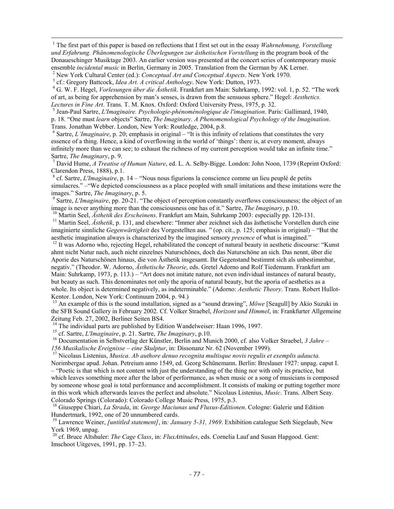<sup>1</sup> The first part of this paper is based on reflections that I first set out in the essay *Wahrnehmung*, *Vorstellung und Erfahrung. Phänomenologische Überlegungen zur ästhetischen Vorstellung* in the program book of the Donaueschinger Musiktage 2003. An earlier version was presented at the concert series of contemporary music ensemble *incidental music* in Berlin, Germany in 2005. Translation from the German by AK Lerner.

2 New York Cultural Center (ed.): *Conceptual Art and Conceptual Aspects*. New York 1970.

3 cf.: Gregory Battcock, *Idea Art. A critical Anthology*. New York: Dutton, 1973.

-

4 G. W. F. Hegel, *Vorlesungen über die Ästhetik*. Frankfurt am Main: Suhrkamp, 1992: vol. 1, p. 52. "The work of art, as being for apprehension by man's senses, is drawn from the sensuous sphere." Hegel: *Aesthetics. Lectures in Fine Art*. Trans. T. M. Knox. Oxford: Oxford University Press, 1975, p. 32.

5 Jean-Paul Sartre, *L'Imaginaire. Psychologie-phénoménologique de l'imagination*. Paris: Gallimard, 1940, p. 18. "One must *learn* objects" Sartre, *The Imaginary. A Phenomenological Psychology of the Imagination*. Trans. Jonathan Webber. London, New York: Routledge, 2004, p.8.

 $<sup>6</sup>$  Sartre, *L'Imaginaire*, p. 20; emphasis in original – "It is this infinity of relations that constitutes the very</sup> essence of a thing. Hence, a kind of overflowing in the world of 'things': there is, at every moment, always infinitely more than we can see; to exhaust the richness of my current perception would take an infinite time." Sartre, *The Imaginary*, p. 9.

7 David Hume, *A Treatise of Human Nature*, ed. L. A. Selby-Bigge. London: John Noon, 1739 (Reprint Oxford: Clarendon Press, 1888), p.1.

8 cf. Sartre, *L'Imaginaire*, p. 14 – "Nous nous figurions la conscience comme un lieu peuplé de petits simulacres." –"We depicted consciousness as a place peopled with small imitations and these imitations were the images." Sartre, *The Imaginary*, p. 5.

<sup>9</sup> Sartre, *L'Imaginaire*, pp. 20-21. "The object of perception constantly overflows consciousness; the object of an image is never anything more than the consciousness one has of it." Sartre, *The Imaginary*, p.10.

<sup>10</sup> Martin Seel, *Ästhetik des Erscheinens*. Frankfurt am Main, Suhrkamp 2003: especially pp. 120-131.

<sup>11</sup> Martin Seel, *Ästhetik*, p. 131, and elsewhere: "Immer aber zeichnet sich das ästhetische Vorstellen durch eine imaginierte sinnliche *Gegenwärtigkeit* des Vorgestellten aus. " (op. cit., p. 125; emphasis in original) – "But the aesthetic imagination always is characterized by the imagined sensory *presence* of what is imagined."

<sup>12</sup> It was Adorno who, rejecting Hegel, rehabilitated the concept of natural beauty in aesthetic discourse: "Kunst ahmt nicht Natur nach, auch nicht einzelnes Naturschönes, doch das Naturschöne an sich. Das nennt, über die Aporie des Naturschönen hinaus, die von Ästhetik insgesamt. Ihr Gegenstand bestimmt sich als unbestimmbar, negativ." (Theodor. W. Adorno, *Ästhetische Theorie*, eds. Gretel Adorno and Rolf Tiedemann. Frankfurt am Main: Suhrkamp, 1973, p. 113.) – "Art does not imitate nature, not even individual instances of natural beauty, but beauty as such. This denominates not only the aporia of natural beauty, but the aporia of aesthetics as a whole. Its object is determined negatively, as indeterminable." (Adorno: *Aesthetic Theory*. Trans. Robert Hullot-Kentor. London, New York: Continuum 2004, p. 94.)

<sup>13</sup> An example of this is the sound installation, signed as a "sound drawing", Möwe [Seagull] by Akio Suzuki in the SFB Sound Gallery in February 2002. Cf. Volker Straebel, *Horizont und Himmel*, in: Frankfurter Allgemeine Zeitung Feb. 27, 2002, Berliner Seiten BS4.

<sup>14</sup> The individual parts are published by Edition Wandelweiser: Haan 1996, 1997.

<sup>15</sup> cf. Sartre, *L'Imaginaire*, p. 21. Sartre, *The Imaginary*, p.10.

<sup>16</sup> Documentation in Selbstverlag der Künstler, Berlin and Munich 2000, cf. also Volker Straebel, *3 Jahre – 156 Musikalische Ereignisse – eine Skulptur*, in: Dissonanz Nr. 62 (November 1999).

<sup>17</sup> Nicolaus Listenius, *Musica. Ab authore denuo recognita multisque novis regulis et exemplis adaucta.* Norimbergae apud. Johan. Petreium anno 1549, ed. Georg Schünemann. Berlin: Breslauer 1927: unpag. caput I. – "Poetic is that which is not content with just the understanding of the thing nor with only its practice, but which leaves something more after the labor of performance, as when music or a song of musicians is composed by someone whose goal is total performance and accomplishment. It consists of making or putting together more in this work which afterwards leaves the perfect and absolute." Nicolaus Listenius, *Music*. Trans. Albert Seay. Colorado Springs (Colorado): Colorado College Music Press, 1975, p.3.

<sup>18</sup> Giuseppe Chiari, *La Strada*, in: *George Maciunas und Fluxus-Editionen*. Cologne: Galerie und Edition Hundertmark, 1992, one of 20 unnumbered cards.

<sup>19</sup> Lawrence Weiner, *[untitled statement]*, in*: January 5-31, 1969*. Exhibition catalogue Seth Siegelaub, New York 1969, unpag.

<sup>20</sup> cf. Bruce Altshuler: *The Cage Class*, in: *FluxAttitudes*, eds. Cornelia Lauf and Susan Hapgood. Gent: Imschoot Uitgeves, 1991, pp. 17–23.